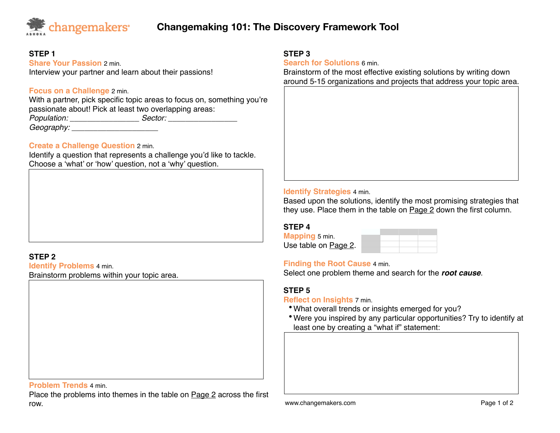

# **Changemaking 101: The Discovery Framework Tool**

# **STEP 1**

**Share Your Passion** 2 min. Interview your partner and learn about their passions!

# **Focus on a Challenge** 2 min.

With a partner, pick specific topic areas to focus on, something you're passionate about! Pick at least two overlapping areas: *Population: \_\_\_\_\_\_\_\_\_\_\_\_\_\_\_\_ Sector: \_\_\_\_\_\_\_\_\_\_\_\_\_\_\_\_ Geography: Geography:* 

### **Create a Challenge Question** 2 min.

Identify a question that represents a challenge you'd like to tackle. Choose a 'what' or 'how' question, not a 'why' question.

# **STEP 2**

**Identify Problems** 4 min. Brainstorm problems within your topic area.

#### **Problem Trends** 4 min.

Place the problems into themes in the table on Page 2 across the first row.

#### **STEP 3**

**Search for Solutions** 6 min.

Brainstorm of the most effective existing solutions by writing down around 5-15 organizations and projects that address your topic area.

#### **Identify Strategies** 4 min.

Based upon the solutions, identify the most promising strategies that they use. Place them in the table on Page 2 down the first column.

#### **STEP 4**

**Mapping** 5 min. Use table on Page 2.

#### **Finding the Root Cause** 4 min.

Select one problem theme and search for the *root cause*.

# **STEP 5**

**Reflect on Insights** 7 min.

- •What overall trends or insights emerged for you?
- •Were you inspired by any particular opportunities? Try to identify at least one by creating a "what if" statement: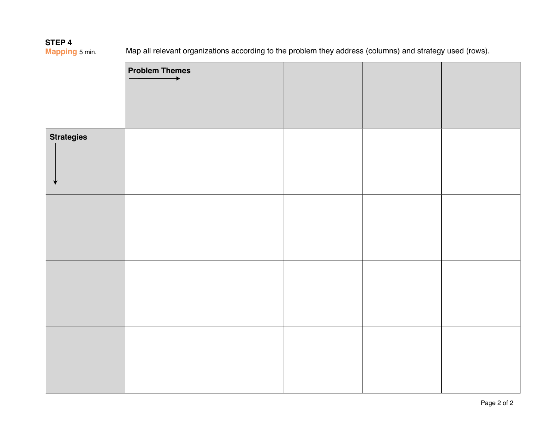**STEP 4**<br>Mapping 5 min.

Map all relevant organizations according to the problem they address (columns) and strategy used (rows).

|                   | <b>Problem Themes</b><br>$\rightarrow$ |  |  |
|-------------------|----------------------------------------|--|--|
|                   |                                        |  |  |
|                   |                                        |  |  |
| <b>Strategies</b> |                                        |  |  |
|                   |                                        |  |  |
|                   |                                        |  |  |
|                   |                                        |  |  |
|                   |                                        |  |  |
|                   |                                        |  |  |
|                   |                                        |  |  |
|                   |                                        |  |  |
|                   |                                        |  |  |
|                   |                                        |  |  |
|                   |                                        |  |  |
|                   |                                        |  |  |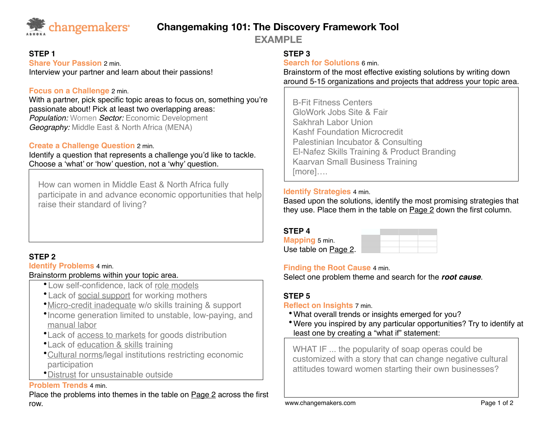

# **Changemaking 101: The Discovery Framework Tool**

**EXAMPLE**

# **STEP 1**

**Share Your Passion** 2 min. Interview your partner and learn about their passions!

# **Focus on a Challenge** 2 min.

With a partner, pick specific topic areas to focus on, something you're passionate about! Pick at least two overlapping areas: *Population:* Women *Sector:* Economic Development *Geography:* Middle East & North Africa (MENA)

# **Create a Challenge Question** 2 min.

Identify a question that represents a challenge you'd like to tackle. Choose a 'what' or 'how' question, not a 'why' question.

How can women in Middle East & North Africa fully participate in and advance economic opportunities that help raise their standard of living?

# **STEP 2**

**Identify Problems** 4 min.

# Brainstorm problems within your topic area.

- •Low self-confidence, lack of role models
- •Lack of social support for working mothers
- •Micro-credit inadequate w/o skills training & support
- •Income generation limited to unstable, low-paying, and manual labor
- •Lack of access to markets for goods distribution
- •Lack of education & skills training
- •Cultural norms/legal institutions restricting economic participation
- •Distrust for unsustainable outside

### **Problem Trends** 4 min.

Place the problems into themes in the table on Page 2 across the first row.

# **STEP 3**

**Search for Solutions** 6 min.

Brainstorm of the most effective existing solutions by writing down around 5-15 organizations and projects that address your topic area.

B-Fit Fitness Centers GloWork Jobs Site & Fair Sakhrah Labor Union Kashf Foundation Microcredit Palestinian Incubator & Consulting El-Nafez Skills Training & Product Branding Kaarvan Small Business Training [more]….

# **Identify Strategies** 4 min.

Based upon the solutions, identify the most promising strategies that they use. Place them in the table on Page 2 down the first column.

# **STEP 4 Mapping** 5 min. Use table on Page 2.

# **Finding the Root Cause** 4 min.

Select one problem theme and search for the *root cause*.

# **STEP 5**

# **Reflect on Insights** 7 min.

- •What overall trends or insights emerged for you?
- •Were you inspired by any particular opportunities? Try to identify at least one by creating a "what if" statement:

WHAT IF ... the popularity of soap operas could be customized with a story that can change negative cultural attitudes toward women starting their own businesses?